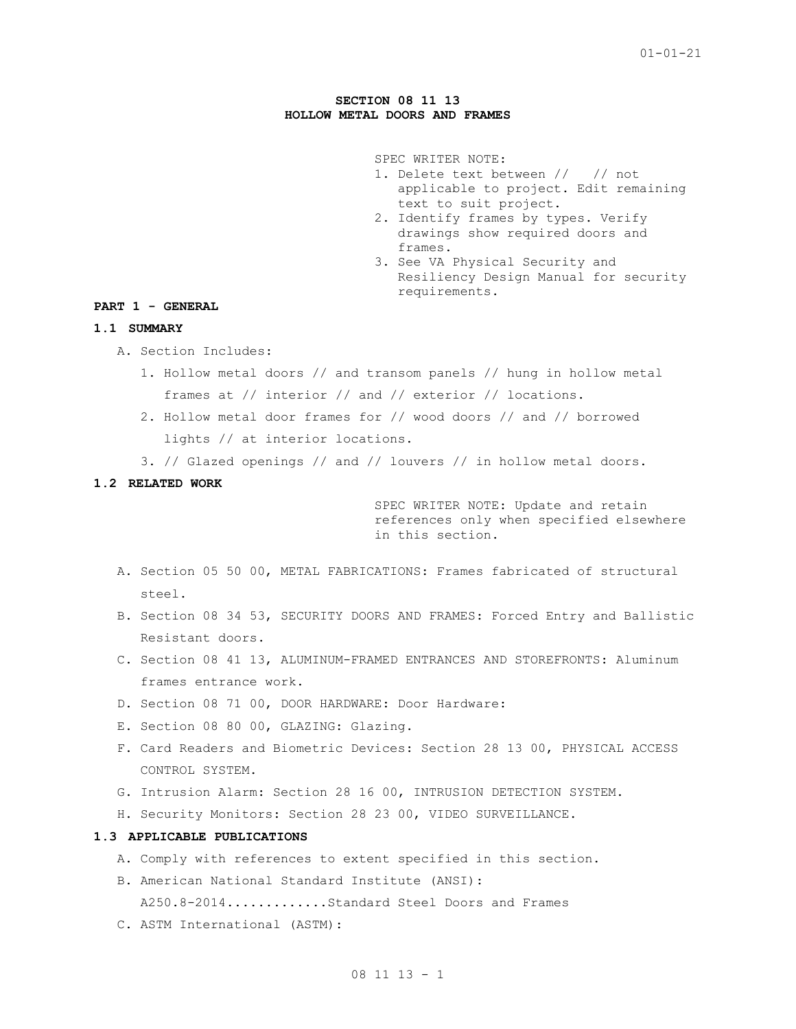### **SECTION 08 11 13 HOLLOW METAL DOORS AND FRAMES**

SPEC WRITER NOTE:

- 1. Delete text between // // not applicable to project. Edit remaining text to suit project.
- 2. Identify frames by types. Verify drawings show required doors and frames.
- 3. See VA Physical Security and Resiliency Design Manual for security requirements.

## **PART 1 - GENERAL**

## **1.1 SUMMARY**

- A. Section Includes:
	- 1. Hollow metal doors // and transom panels // hung in hollow metal frames at // interior // and // exterior // locations.
	- 2. Hollow metal door frames for // wood doors // and // borrowed lights // at interior locations.
	- 3. // Glazed openings // and // louvers // in hollow metal doors.

### **1.2 RELATED WORK**

SPEC WRITER NOTE: Update and retain references only when specified elsewhere in this section.

- A. Section 05 50 00, METAL FABRICATIONS: Frames fabricated of structural steel.
- B. Section 08 34 53, SECURITY DOORS AND FRAMES: Forced Entry and Ballistic Resistant doors.
- C. Section 08 41 13, ALUMINUM-FRAMED ENTRANCES AND STOREFRONTS: Aluminum frames entrance work.
- D. Section 08 71 00, DOOR HARDWARE: Door Hardware:
- E. Section 08 80 00, GLAZING: Glazing.
- F. Card Readers and Biometric Devices: Section 28 13 00, PHYSICAL ACCESS CONTROL SYSTEM.
- G. Intrusion Alarm: Section 28 16 00, INTRUSION DETECTION SYSTEM.
- H. Security Monitors: Section 28 23 00, VIDEO SURVEILLANCE.

# **1.3 APPLICABLE PUBLICATIONS**

- A. Comply with references to extent specified in this section.
- B. American National Standard Institute (ANSI):
	- A250.8-2014.............Standard Steel Doors and Frames
- C. ASTM International (ASTM):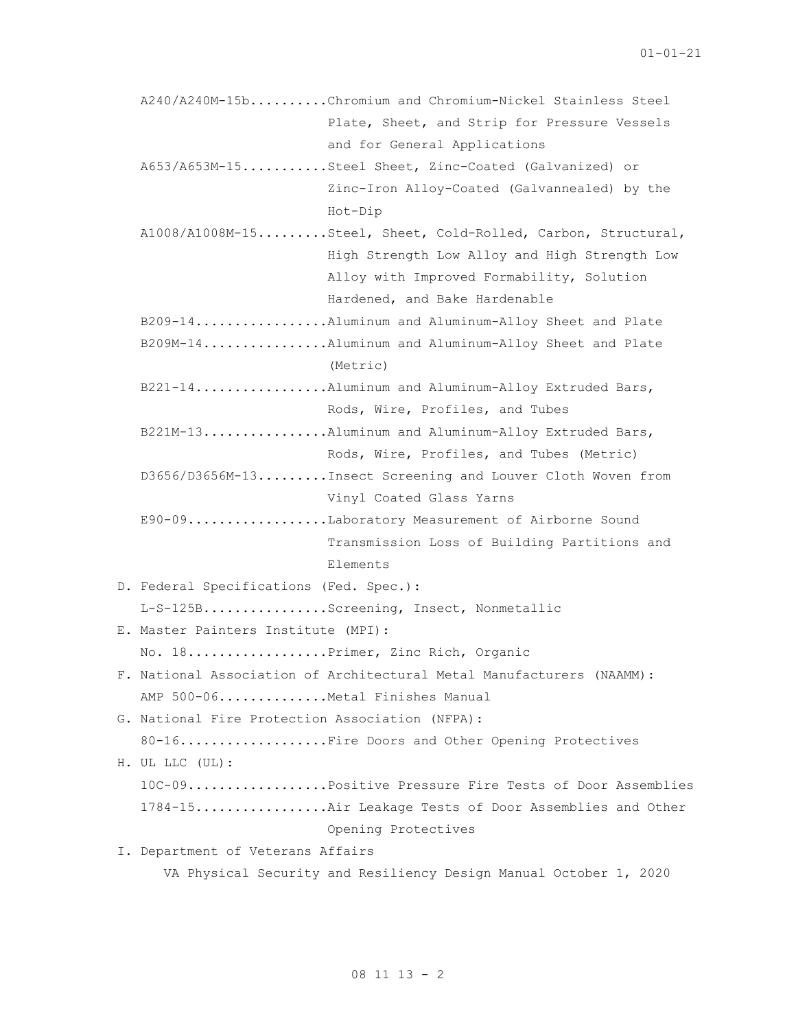| A240/A240M-15bChromium and Chromium-Nickel Stainless Steel            |
|-----------------------------------------------------------------------|
| Plate, Sheet, and Strip for Pressure Vessels                          |
| and for General Applications                                          |
| A653/A653M-15Steel Sheet, Zinc-Coated (Galvanized) or                 |
| Zinc-Iron Alloy-Coated (Galvannealed) by the                          |
| Hot-Dip                                                               |
| A1008/A1008M-15Steel, Sheet, Cold-Rolled, Carbon, Structural,         |
| High Strength Low Alloy and High Strength Low                         |
| Alloy with Improved Formability, Solution                             |
| Hardened, and Bake Hardenable                                         |
| B209-14Aluminum and Aluminum-Alloy Sheet and Plate                    |
| B209M-14Aluminum and Aluminum-Alloy Sheet and Plate                   |
| (Metric)                                                              |
| B221-14Aluminum and Aluminum-Alloy Extruded Bars,                     |
| Rods, Wire, Profiles, and Tubes                                       |
| B221M-13Aluminum and Aluminum-Alloy Extruded Bars,                    |
| Rods, Wire, Profiles, and Tubes (Metric)                              |
| D3656/D3656M-13Insect Screening and Louver Cloth Woven from           |
| Vinyl Coated Glass Yarns                                              |
| E90-09Laboratory Measurement of Airborne Sound                        |
| Transmission Loss of Building Partitions and                          |
| Elements                                                              |
| D. Federal Specifications (Fed. Spec.):                               |
| L-S-125BScreening, Insect, Nonmetallic                                |
| E. Master Painters Institute (MPI):                                   |
| No. 18Primer, Zinc Rich, Organic                                      |
| F. National Association of Architectural Metal Manufacturers (NAAMM): |
| AMP 500-06Metal Finishes Manual                                       |
| G. National Fire Protection Association (NFPA):                       |
| 80-16Fire Doors and Other Opening Protectives                         |
| H. UL LLC (UL):                                                       |
| 10C-09Positive Pressure Fire Tests of Door Assemblies                 |
| 1784-15Air Leakage Tests of Door Assemblies and Other                 |
| Opening Protectives                                                   |
| I. Department of Veterans Affairs                                     |
| VA Physical Security and Resiliency Design Manual October 1, 2020     |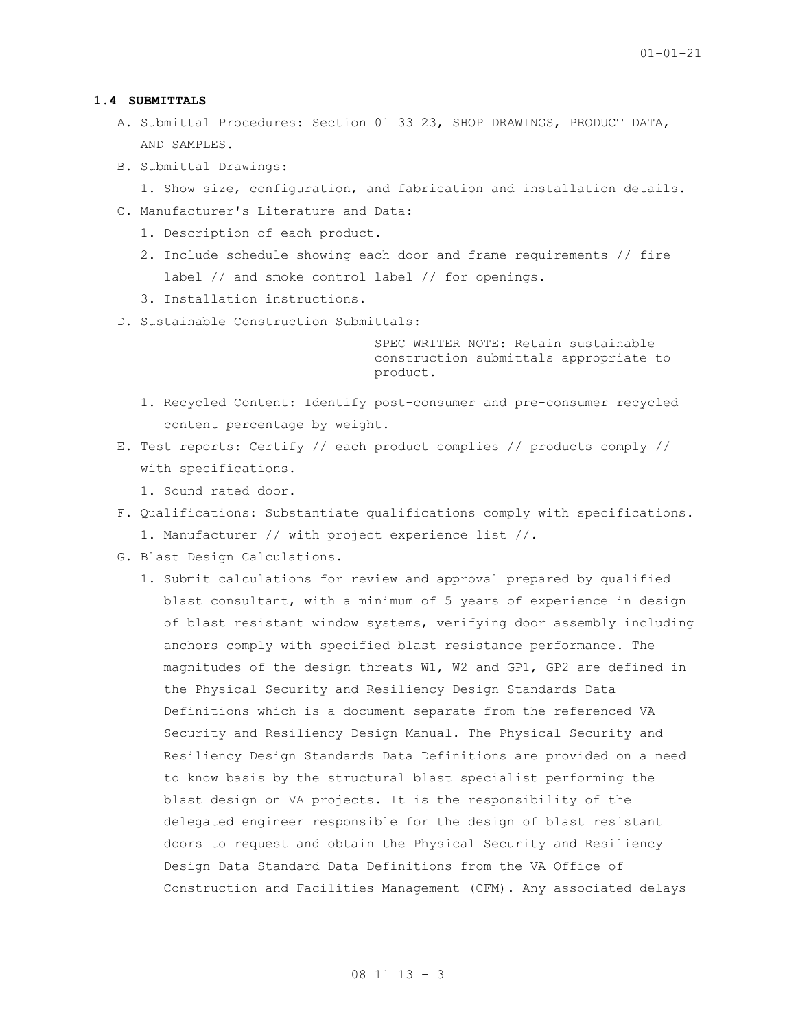### **1.4 SUBMITTALS**

- A. Submittal Procedures: Section 01 33 23, SHOP DRAWINGS, PRODUCT DATA, AND SAMPLES.
- B. Submittal Drawings:
	- 1. Show size, configuration, and fabrication and installation details.
- C. Manufacturer's Literature and Data:
	- 1. Description of each product.
	- 2. Include schedule showing each door and frame requirements // fire label // and smoke control label // for openings.
	- 3. Installation instructions.
- D. Sustainable Construction Submittals:

SPEC WRITER NOTE: Retain sustainable construction submittals appropriate to product.

- 1. Recycled Content: Identify post-consumer and pre-consumer recycled content percentage by weight.
- E. Test reports: Certify // each product complies // products comply // with specifications.
	- 1. Sound rated door.
- F. Qualifications: Substantiate qualifications comply with specifications. 1. Manufacturer // with project experience list //.
- G. Blast Design Calculations.
	- 1. Submit calculations for review and approval prepared by qualified blast consultant, with a minimum of 5 years of experience in design of blast resistant window systems, verifying door assembly including anchors comply with specified blast resistance performance. The magnitudes of the design threats W1, W2 and GP1, GP2 are defined in the Physical Security and Resiliency Design Standards Data Definitions which is a document separate from the referenced VA Security and Resiliency Design Manual. The Physical Security and Resiliency Design Standards Data Definitions are provided on a need to know basis by the structural blast specialist performing the blast design on VA projects. It is the responsibility of the delegated engineer responsible for the design of blast resistant doors to request and obtain the Physical Security and Resiliency Design Data Standard Data Definitions from the VA Office of Construction and Facilities Management (CFM). Any associated delays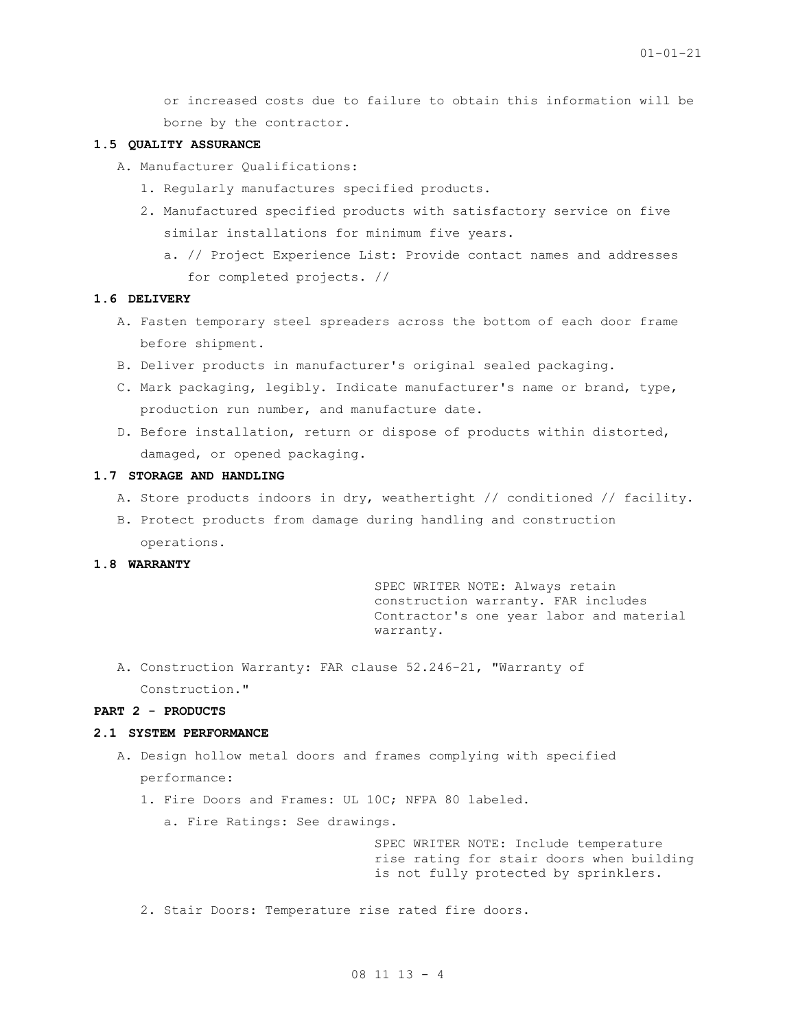or increased costs due to failure to obtain this information will be borne by the contractor.

### **1.5 QUALITY ASSURANCE**

- A. Manufacturer Qualifications:
	- 1. Regularly manufactures specified products.
	- 2. Manufactured specified products with satisfactory service on five similar installations for minimum five years.
		- a. // Project Experience List: Provide contact names and addresses for completed projects. //

## **1.6 DELIVERY**

- A. Fasten temporary steel spreaders across the bottom of each door frame before shipment.
- B. Deliver products in manufacturer's original sealed packaging.
- C. Mark packaging, legibly. Indicate manufacturer's name or brand, type, production run number, and manufacture date.
- D. Before installation, return or dispose of products within distorted, damaged, or opened packaging.

## **1.7 STORAGE AND HANDLING**

- A. Store products indoors in dry, weathertight // conditioned // facility.
- B. Protect products from damage during handling and construction operations.

### **1.8 WARRANTY**

SPEC WRITER NOTE: Always retain construction warranty. FAR includes Contractor's one year labor and material warranty.

A. Construction Warranty: FAR clause 52.246-21, "Warranty of Construction."

### **PART 2 - PRODUCTS**

#### **2.1 SYSTEM PERFORMANCE**

- A. Design hollow metal doors and frames complying with specified performance:
	- 1. Fire Doors and Frames: UL 10C; NFPA 80 labeled.
		- a. Fire Ratings: See drawings.

SPEC WRITER NOTE: Include temperature rise rating for stair doors when building is not fully protected by sprinklers.

2. Stair Doors: Temperature rise rated fire doors.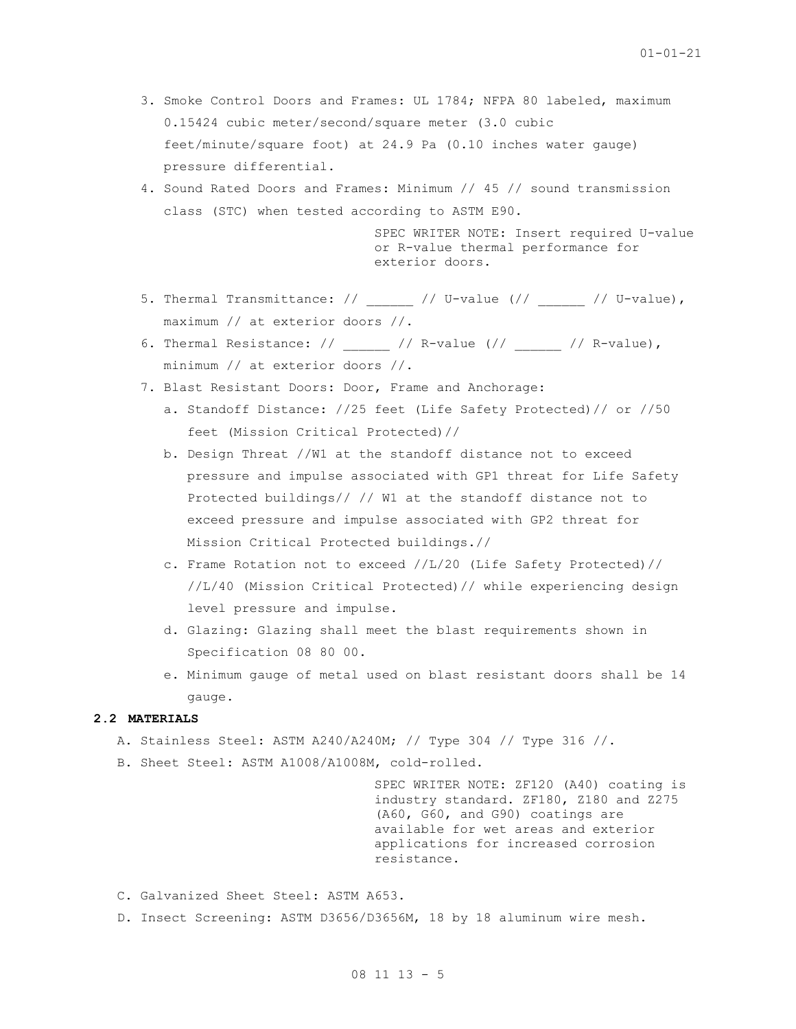- 3. Smoke Control Doors and Frames: UL 1784; NFPA 80 labeled, maximum 0.15424 cubic meter/second/square meter (3.0 cubic feet/minute/square foot) at 24.9 Pa (0.10 inches water gauge) pressure differential.
- 4. Sound Rated Doors and Frames: Minimum // 45 // sound transmission class (STC) when tested according to ASTM E90.

SPEC WRITER NOTE: Insert required U-value or R-value thermal performance for exterior doors.

- 5. Thermal Transmittance: //  $\qquad$  // U-value (//  $\qquad$  // U-value), maximum // at exterior doors //.
- 6. Thermal Resistance: //  $\qquad$  // R-value (//  $\qquad$  // R-value), minimum // at exterior doors //.
- 7. Blast Resistant Doors: Door, Frame and Anchorage:
	- a. Standoff Distance: //25 feet (Life Safety Protected)// or //50 feet (Mission Critical Protected)//
	- b. Design Threat //W1 at the standoff distance not to exceed pressure and impulse associated with GP1 threat for Life Safety Protected buildings// // W1 at the standoff distance not to exceed pressure and impulse associated with GP2 threat for Mission Critical Protected buildings.//
	- c. Frame Rotation not to exceed //L/20 (Life Safety Protected)// //L/40 (Mission Critical Protected)// while experiencing design level pressure and impulse.
	- d. Glazing: Glazing shall meet the blast requirements shown in Specification 08 80 00.
	- e. Minimum gauge of metal used on blast resistant doors shall be 14 gauge.

# **2.2 MATERIALS**

- A. Stainless Steel: ASTM A240/A240M; // Type 304 // Type 316 //.
- B. Sheet Steel: ASTM A1008/A1008M, cold-rolled.

SPEC WRITER NOTE: ZF120 (A40) coating is industry standard. ZF180, Z180 and Z275 (A60, G60, and G90) coatings are available for wet areas and exterior applications for increased corrosion resistance.

- C. Galvanized Sheet Steel: ASTM A653.
- D. Insect Screening: ASTM D3656/D3656M, 18 by 18 aluminum wire mesh.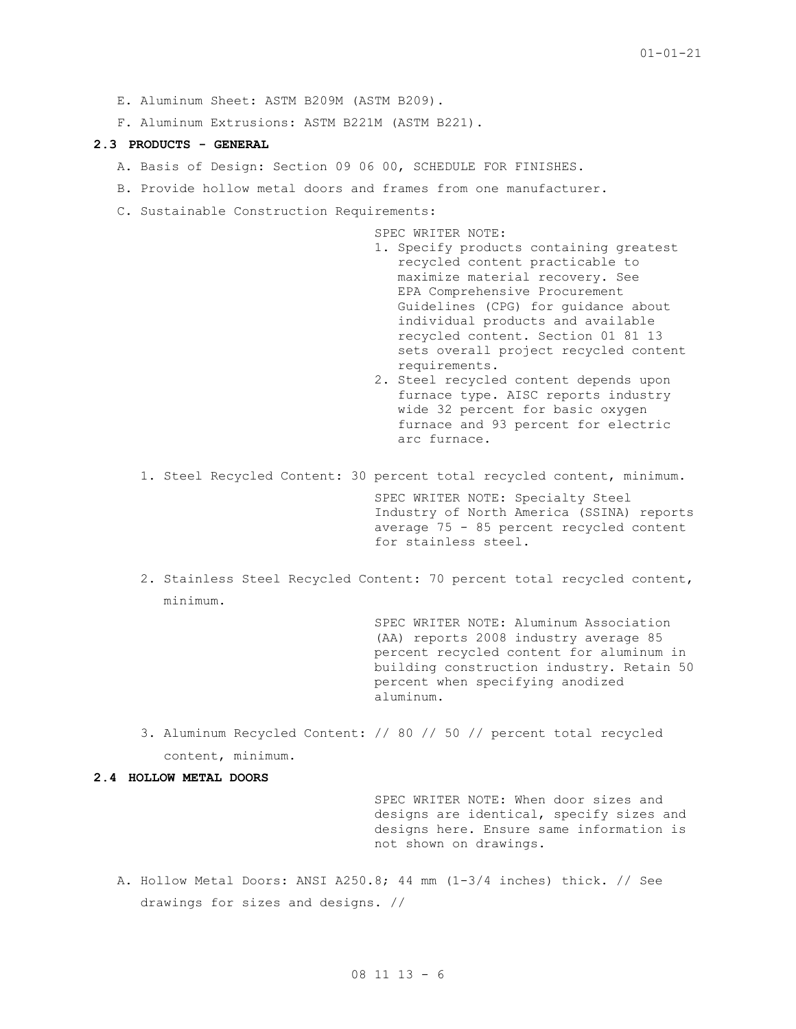- E. Aluminum Sheet: ASTM B209M (ASTM B209).
- F. Aluminum Extrusions: ASTM B221M (ASTM B221).

### **2.3 PRODUCTS - GENERAL**

- A. Basis of Design: Section 09 06 00, SCHEDULE FOR FINISHES.
- B. Provide hollow metal doors and frames from one manufacturer.
- C. Sustainable Construction Requirements:

SPEC WRITER NOTE:

- 1. Specify products containing greatest recycled content practicable to maximize material recovery. See EPA [Comprehensive Procurement](file://///server12/njserver/Common%20Files/_Projects/16022%20NIBS%20VA%20Master%20Specifications%2016.07.01/16022%20Spec%20in%20Progress/www3.epa.gov/epawaste/conserve/tools/cpg/products/construction.htm)  [Guidelines \(CPG\)](file://///server12/njserver/Common%20Files/_Projects/16022%20NIBS%20VA%20Master%20Specifications%2016.07.01/16022%20Spec%20in%20Progress/www3.epa.gov/epawaste/conserve/tools/cpg/products/construction.htm) for guidance about individual products and available recycled content. Section 01 81 13 sets overall project recycled content requirements.
- 2. Steel recycled content depends upon furnace type. AISC reports industry wide 32 percent for basic oxygen furnace and 93 percent for electric arc furnace.
- 1. Steel Recycled Content: 30 percent total recycled content, minimum.

SPEC WRITER NOTE: Specialty Steel Industry of North America (SSINA) reports average 75 - 85 percent recycled content for stainless steel.

2. Stainless Steel Recycled Content: 70 percent total recycled content, minimum.

> SPEC WRITER NOTE: Aluminum Association (AA) reports 2008 industry average 85 percent recycled content for aluminum in building construction industry. Retain 50 percent when specifying anodized aluminum.

3. Aluminum Recycled Content: // 80 // 50 // percent total recycled content, minimum.

#### **2.4 HOLLOW METAL DOORS**

SPEC WRITER NOTE: When door sizes and designs are identical, specify sizes and designs here. Ensure same information is not shown on drawings.

A. Hollow Metal Doors: ANSI A250.8; 44 mm (1-3/4 inches) thick. // See drawings for sizes and designs. //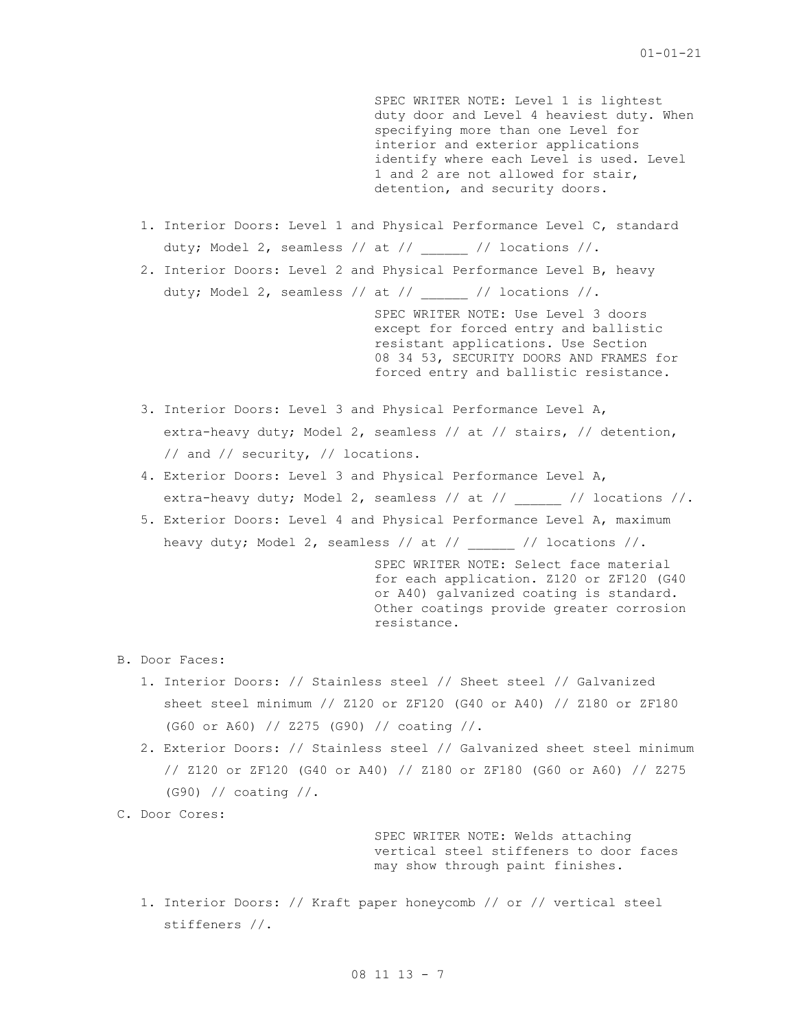SPEC WRITER NOTE: Level 1 is lightest duty door and Level 4 heaviest duty. When specifying more than one Level for interior and exterior applications identify where each Level is used. Level 1 and 2 are not allowed for stair, detention, and security doors.

1. Interior Doors: Level 1 and Physical Performance Level C, standard duty; Model 2, seamless // at // [/ locations //.

2. Interior Doors: Level 2 and Physical Performance Level B, heavy duty; Model 2, seamless // at //  $\frac{1}{2}$  // locations //.

> SPEC WRITER NOTE: Use Level 3 doors except for forced entry and ballistic resistant applications. Use Section 08 34 53, SECURITY DOORS AND FRAMES for forced entry and ballistic resistance.

- 3. Interior Doors: Level 3 and Physical Performance Level A, extra-heavy duty; Model 2, seamless // at // stairs, // detention, // and // security, // locations.
- 4. Exterior Doors: Level 3 and Physical Performance Level A, extra-heavy duty; Model 2, seamless // at // \_\_\_\_\_\_ // locations //.
- 5. Exterior Doors: Level 4 and Physical Performance Level A, maximum heavy duty; Model 2, seamless // at // \_\_\_\_\_ // locations //.

SPEC WRITER NOTE: Select face material for each application. Z120 or ZF120 (G40 or A40) galvanized coating is standard. Other coatings provide greater corrosion resistance.

B. Door Faces:

- 1. Interior Doors: // Stainless steel // Sheet steel // Galvanized sheet steel minimum // Z120 or ZF120 (G40 or A40) // Z180 or ZF180 (G60 or A60) // Z275 (G90) // coating //.
- 2. Exterior Doors: // Stainless steel // Galvanized sheet steel minimum // Z120 or ZF120 (G40 or A40) // Z180 or ZF180 (G60 or A60) // Z275 (G90) // coating //.

C. Door Cores:

SPEC WRITER NOTE: Welds attaching vertical steel stiffeners to door faces may show through paint finishes.

1. Interior Doors: // Kraft paper honeycomb // or // vertical steel stiffeners //.

08 11 13 - 7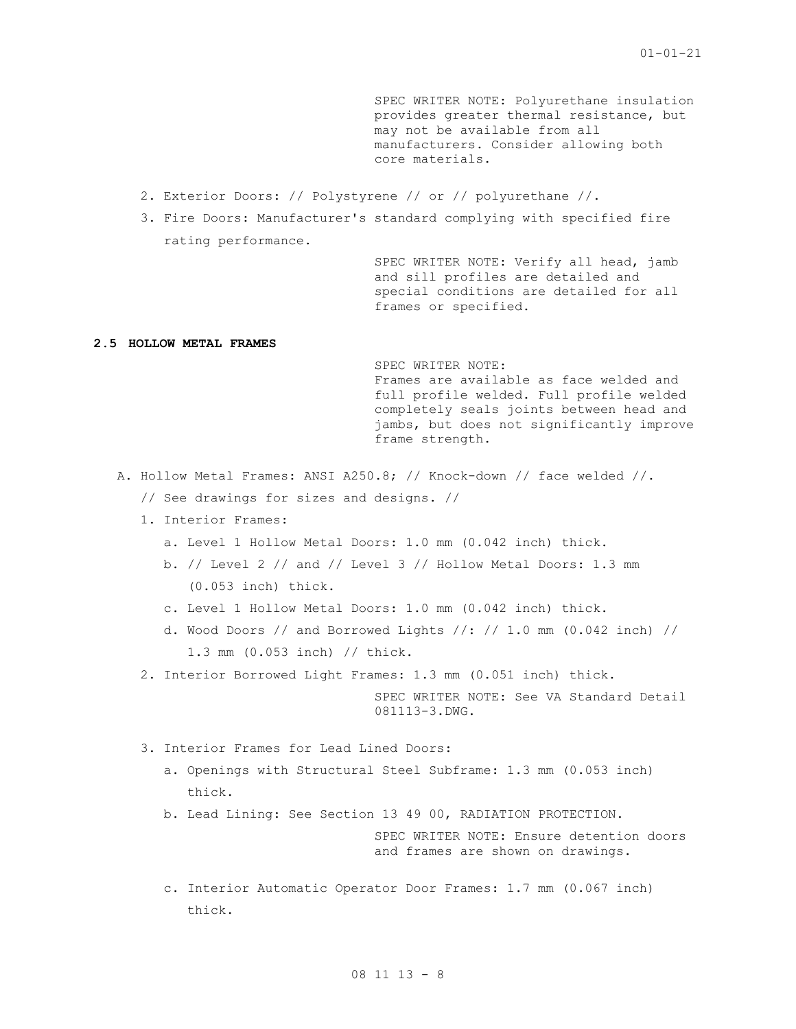SPEC WRITER NOTE: Polyurethane insulation provides greater thermal resistance, but may not be available from all manufacturers. Consider allowing both core materials.

- 2. Exterior Doors: // Polystyrene // or // polyurethane //.
- 3. Fire Doors: Manufacturer's standard complying with specified fire rating performance.

SPEC WRITER NOTE: Verify all head, jamb and sill profiles are detailed and special conditions are detailed for all frames or specified.

## **2.5 HOLLOW METAL FRAMES**

SPEC WRITER NOTE: Frames are available as face welded and full profile welded. Full profile welded completely seals joints between head and jambs, but does not significantly improve frame strength.

- A. Hollow Metal Frames: ANSI A250.8; // Knock-down // face welded //.
	- // See drawings for sizes and designs. //
	- 1. Interior Frames:
		- a. Level 1 Hollow Metal Doors: 1.0 mm (0.042 inch) thick.
		- b. // Level 2 // and // Level 3 // Hollow Metal Doors: 1.3 mm (0.053 inch) thick.
		- c. Level 1 Hollow Metal Doors: 1.0 mm (0.042 inch) thick.
		- d. Wood Doors // and Borrowed Lights //: // 1.0 mm  $(0.042 \text{ inch})$  // 1.3 mm (0.053 inch) // thick.
	- 2. Interior Borrowed Light Frames: 1.3 mm (0.051 inch) thick.

SPEC WRITER NOTE: See VA Standard Detail 081113-3.DWG.

- 3. Interior Frames for Lead Lined Doors:
	- a. Openings with Structural Steel Subframe: 1.3 mm (0.053 inch) thick.
	- b. Lead Lining: See Section 13 49 00, RADIATION PROTECTION. SPEC WRITER NOTE: Ensure detention doors and frames are shown on drawings.
	- c. Interior Automatic Operator Door Frames: 1.7 mm (0.067 inch) thick.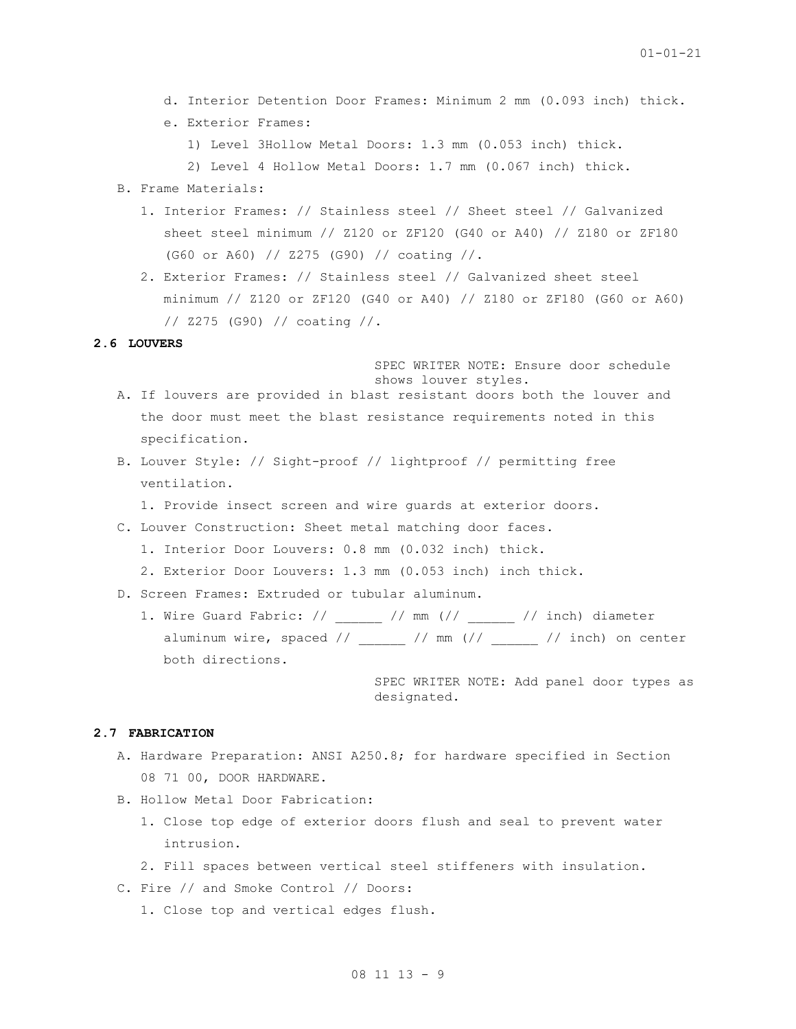- d. Interior Detention Door Frames: Minimum 2 mm (0.093 inch) thick.
- e. Exterior Frames:
	- 1) Level 3Hollow Metal Doors: 1.3 mm (0.053 inch) thick.
	- 2) Level 4 Hollow Metal Doors: 1.7 mm (0.067 inch) thick.
- B. Frame Materials:
	- 1. Interior Frames: // Stainless steel // Sheet steel // Galvanized sheet steel minimum // Z120 or ZF120 (G40 or A40) // Z180 or ZF180 (G60 or A60) // Z275 (G90) // coating //.
	- 2. Exterior Frames: // Stainless steel // Galvanized sheet steel minimum // Z120 or ZF120 (G40 or A40) // Z180 or ZF180 (G60 or A60) // Z275 (G90) // coating //.

## **2.6 LOUVERS**

SPEC WRITER NOTE: Ensure door schedule shows louver styles.

- A. If louvers are provided in blast resistant doors both the louver and the door must meet the blast resistance requirements noted in this specification.
- B. Louver Style: // Sight-proof // lightproof // permitting free ventilation.
	- 1. Provide insect screen and wire guards at exterior doors.
- C. Louver Construction: Sheet metal matching door faces.
	- 1. Interior Door Louvers: 0.8 mm (0.032 inch) thick.
	- 2. Exterior Door Louvers: 1.3 mm (0.053 inch) inch thick.
- D. Screen Frames: Extruded or tubular aluminum.
	- 1. Wire Guard Fabric: //  $\qquad$  // mm (//  $\qquad$  // inch) diameter aluminum wire, spaced  $//$  \_\_\_\_\_ // mm  $//$  \_\_\_\_ // inch) on center both directions.

SPEC WRITER NOTE: Add panel door types as designated.

### **2.7 FABRICATION**

- A. Hardware Preparation: ANSI A250.8; for hardware specified in Section 08 71 00, DOOR HARDWARE.
- B. Hollow Metal Door Fabrication:
	- 1. Close top edge of exterior doors flush and seal to prevent water intrusion.
	- 2. Fill spaces between vertical steel stiffeners with insulation.
- C. Fire // and Smoke Control // Doors:
	- 1. Close top and vertical edges flush.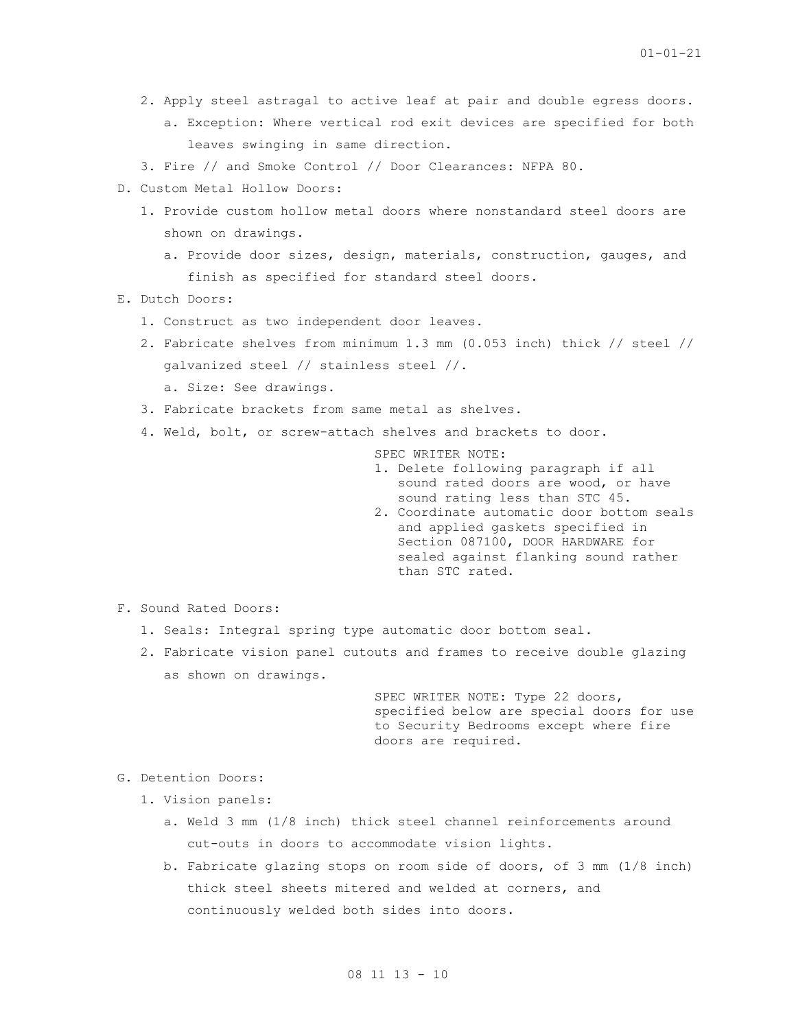- 2. Apply steel astragal to active leaf at pair and double egress doors. a. Exception: Where vertical rod exit devices are specified for both leaves swinging in same direction.
- 3. Fire // and Smoke Control // Door Clearances: NFPA 80.
- D. Custom Metal Hollow Doors:
	- 1. Provide custom hollow metal doors where nonstandard steel doors are shown on drawings.
		- a. Provide door sizes, design, materials, construction, gauges, and finish as specified for standard steel doors.
- E. Dutch Doors:
	- 1. Construct as two independent door leaves.
	- 2. Fabricate shelves from minimum 1.3 mm (0.053 inch) thick // steel // galvanized steel // stainless steel //.
		- a. Size: See drawings.
	- 3. Fabricate brackets from same metal as shelves.
	- 4. Weld, bolt, or screw-attach shelves and brackets to door.

SPEC WRITER NOTE:

- 1. Delete following paragraph if all sound rated doors are wood, or have sound rating less than STC 45. 2. Coordinate automatic door bottom seals
- and applied gaskets specified in Section 087100, DOOR HARDWARE for sealed against flanking sound rather than STC rated.
- F. Sound Rated Doors:
	- 1. Seals: Integral spring type automatic door bottom seal.
	- 2. Fabricate vision panel cutouts and frames to receive double glazing as shown on drawings.

SPEC WRITER NOTE: Type 22 doors, specified below are special doors for use to Security Bedrooms except where fire doors are required.

G. Detention Doors:

- 1. Vision panels:
	- a. Weld 3 mm (1/8 inch) thick steel channel reinforcements around cut-outs in doors to accommodate vision lights.
	- b. Fabricate glazing stops on room side of doors, of 3 mm (1/8 inch) thick steel sheets mitered and welded at corners, and continuously welded both sides into doors.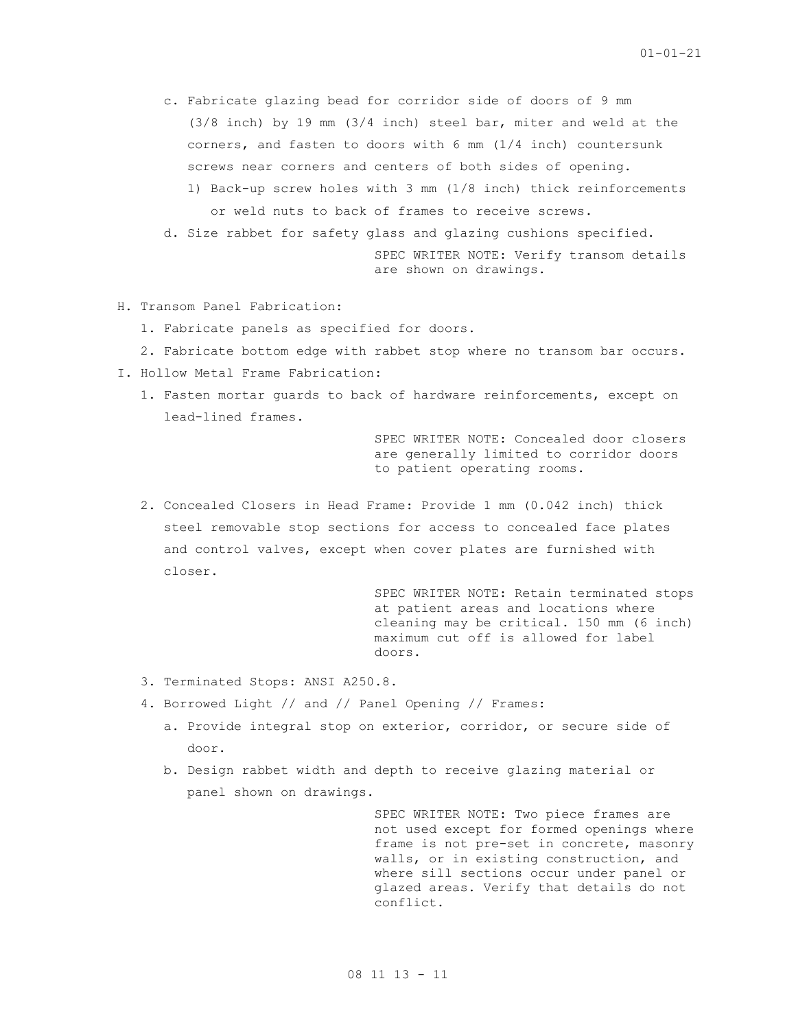c. Fabricate glazing bead for corridor side of doors of 9 mm (3/8 inch) by 19 mm (3/4 inch) steel bar, miter and weld at the corners, and fasten to doors with 6 mm (1/4 inch) countersunk screws near corners and centers of both sides of opening. 1) Back-up screw holes with 3 mm (1/8 inch) thick reinforcements or weld nuts to back of frames to receive screws.

d. Size rabbet for safety glass and glazing cushions specified.

SPEC WRITER NOTE: Verify transom details are shown on drawings.

- H. Transom Panel Fabrication:
	- 1. Fabricate panels as specified for doors.
	- 2. Fabricate bottom edge with rabbet stop where no transom bar occurs.
- I. Hollow Metal Frame Fabrication:
	- 1. Fasten mortar guards to back of hardware reinforcements, except on lead-lined frames.

SPEC WRITER NOTE: Concealed door closers are generally limited to corridor doors to patient operating rooms.

2. Concealed Closers in Head Frame: Provide 1 mm (0.042 inch) thick steel removable stop sections for access to concealed face plates and control valves, except when cover plates are furnished with closer.

> SPEC WRITER NOTE: Retain terminated stops at patient areas and locations where cleaning may be critical. 150 mm (6 inch) maximum cut off is allowed for label doors.

- 3. Terminated Stops: ANSI A250.8.
- 4. Borrowed Light // and // Panel Opening // Frames:
	- a. Provide integral stop on exterior, corridor, or secure side of door.
	- b. Design rabbet width and depth to receive glazing material or panel shown on drawings.

SPEC WRITER NOTE: Two piece frames are not used except for formed openings where frame is not pre-set in concrete, masonry walls, or in existing construction, and where sill sections occur under panel or glazed areas. Verify that details do not conflict.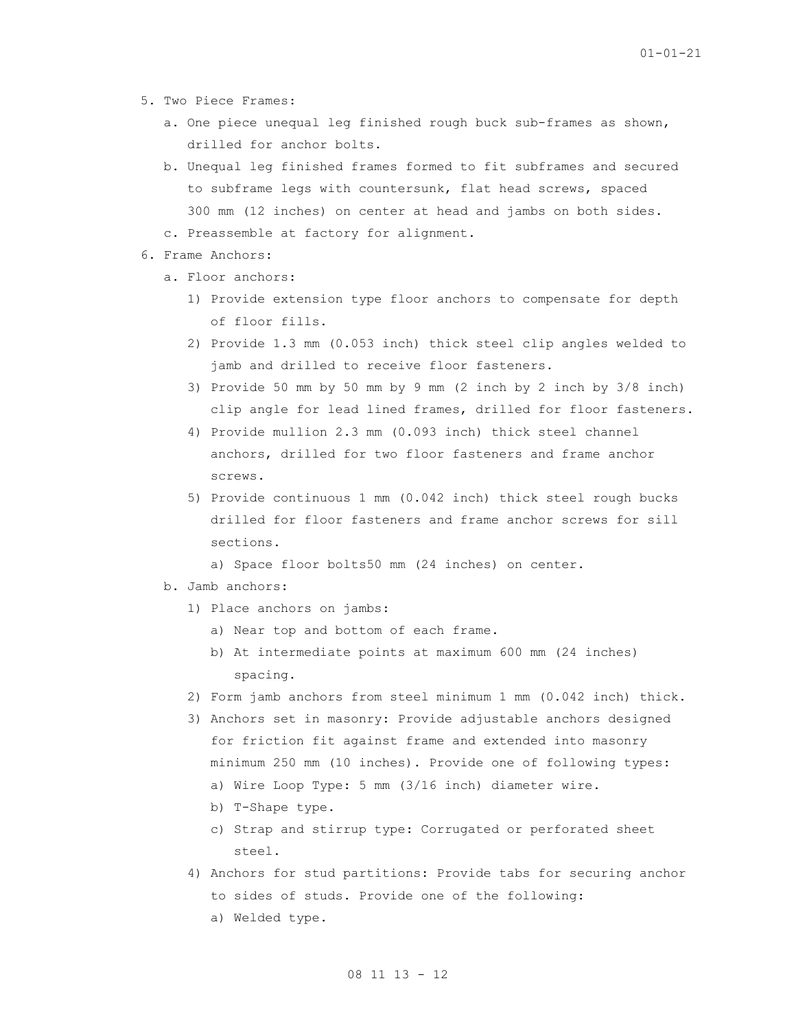- 5. Two Piece Frames:
	- a. One piece unequal leg finished rough buck sub-frames as shown, drilled for anchor bolts.
	- b. Unequal leg finished frames formed to fit subframes and secured to subframe legs with countersunk, flat head screws, spaced 300 mm (12 inches) on center at head and jambs on both sides.
	- c. Preassemble at factory for alignment.
- 6. Frame Anchors:
	- a. Floor anchors:
		- 1) Provide extension type floor anchors to compensate for depth of floor fills.
		- 2) Provide 1.3 mm (0.053 inch) thick steel clip angles welded to jamb and drilled to receive floor fasteners.
		- 3) Provide 50 mm by 50 mm by 9 mm (2 inch by 2 inch by 3/8 inch) clip angle for lead lined frames, drilled for floor fasteners.
		- 4) Provide mullion 2.3 mm (0.093 inch) thick steel channel anchors, drilled for two floor fasteners and frame anchor screws.
		- 5) Provide continuous 1 mm (0.042 inch) thick steel rough bucks drilled for floor fasteners and frame anchor screws for sill sections.

a) Space floor bolts50 mm (24 inches) on center.

- b. Jamb anchors:
	- 1) Place anchors on jambs:
		- a) Near top and bottom of each frame.
		- b) At intermediate points at maximum 600 mm (24 inches) spacing.
	- 2) Form jamb anchors from steel minimum 1 mm (0.042 inch) thick.
	- 3) Anchors set in masonry: Provide adjustable anchors designed for friction fit against frame and extended into masonry minimum 250 mm (10 inches). Provide one of following types: a) Wire Loop Type: 5 mm (3/16 inch) diameter wire.
		- b) T-Shape type.
		- c) Strap and stirrup type: Corrugated or perforated sheet steel.
	- 4) Anchors for stud partitions: Provide tabs for securing anchor to sides of studs. Provide one of the following: a) Welded type.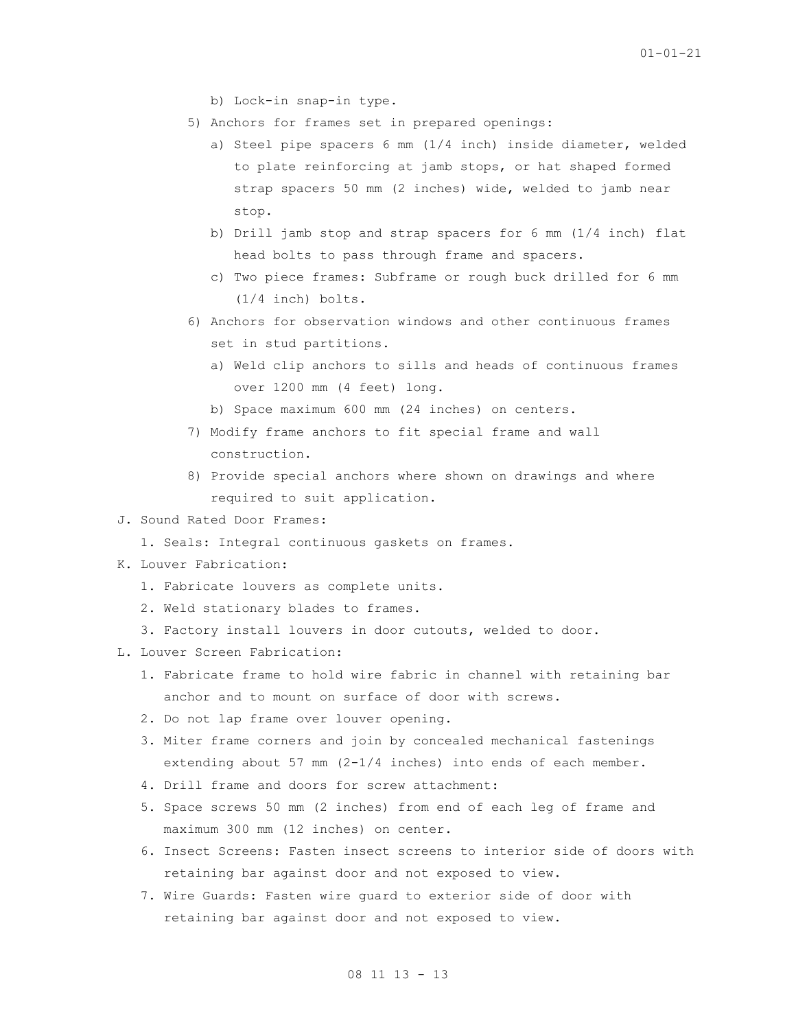- b) Lock-in snap-in type.
- 5) Anchors for frames set in prepared openings:
	- a) Steel pipe spacers 6 mm (1/4 inch) inside diameter, welded to plate reinforcing at jamb stops, or hat shaped formed strap spacers 50 mm (2 inches) wide, welded to jamb near stop.
	- b) Drill jamb stop and strap spacers for 6 mm (1/4 inch) flat head bolts to pass through frame and spacers.
	- c) Two piece frames: Subframe or rough buck drilled for 6 mm (1/4 inch) bolts.
- 6) Anchors for observation windows and other continuous frames set in stud partitions.
	- a) Weld clip anchors to sills and heads of continuous frames over 1200 mm (4 feet) long.
	- b) Space maximum 600 mm (24 inches) on centers.
- 7) Modify frame anchors to fit special frame and wall construction.
- 8) Provide special anchors where shown on drawings and where required to suit application.
- J. Sound Rated Door Frames:
	- 1. Seals: Integral continuous gaskets on frames.
- K. Louver Fabrication:
	- 1. Fabricate louvers as complete units.
	- 2. Weld stationary blades to frames.
	- 3. Factory install louvers in door cutouts, welded to door.
- L. Louver Screen Fabrication:
	- 1. Fabricate frame to hold wire fabric in channel with retaining bar anchor and to mount on surface of door with screws.
	- 2. Do not lap frame over louver opening.
	- 3. Miter frame corners and join by concealed mechanical fastenings extending about 57 mm  $(2-1/4$  inches) into ends of each member.
	- 4. Drill frame and doors for screw attachment:
	- 5. Space screws 50 mm (2 inches) from end of each leg of frame and maximum 300 mm (12 inches) on center.
	- 6. Insect Screens: Fasten insect screens to interior side of doors with retaining bar against door and not exposed to view.
	- 7. Wire Guards: Fasten wire guard to exterior side of door with retaining bar against door and not exposed to view.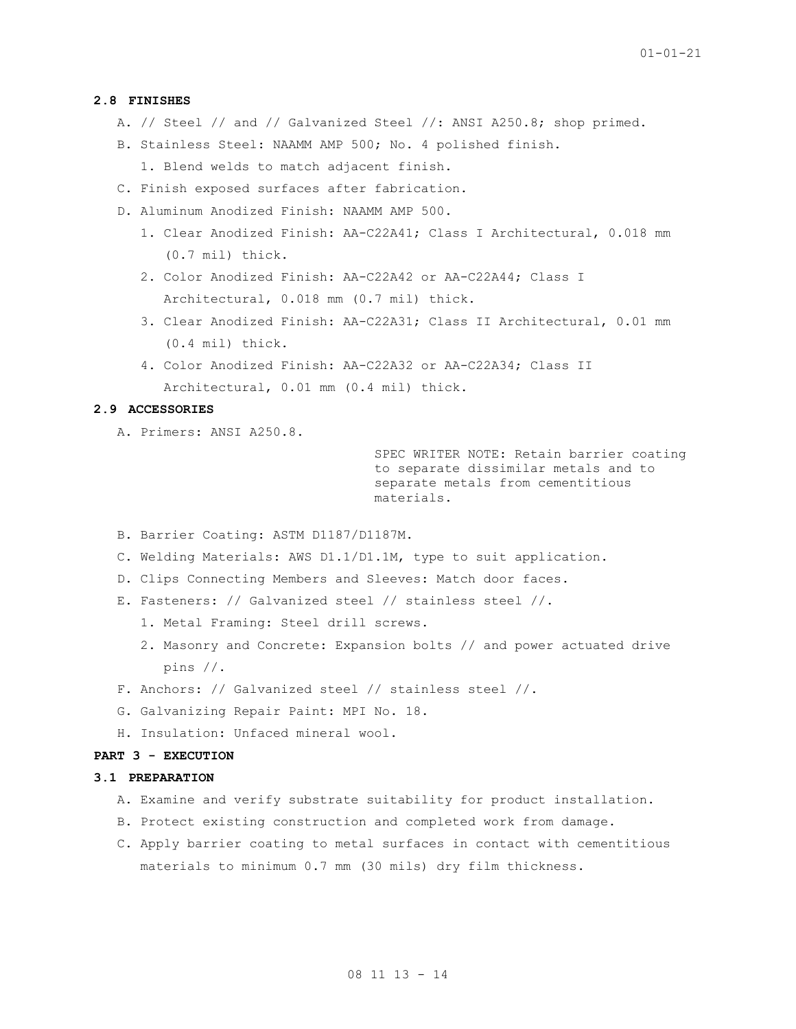## **2.8 FINISHES**

- A. // Steel // and // Galvanized Steel //: ANSI A250.8; shop primed.
- B. Stainless Steel: NAAMM AMP 500; No. 4 polished finish. 1. Blend welds to match adjacent finish.
- C. Finish exposed surfaces after fabrication.
- D. Aluminum Anodized Finish: NAAMM AMP 500.
	- 1. Clear Anodized Finish: AA-C22A41; Class I Architectural, 0.018 mm (0.7 mil) thick.
	- 2. Color Anodized Finish: AA-C22A42 or AA-C22A44; Class I Architectural, 0.018 mm (0.7 mil) thick.
	- 3. Clear Anodized Finish: AA-C22A31; Class II Architectural, 0.01 mm (0.4 mil) thick.
	- 4. Color Anodized Finish: AA-C22A32 or AA-C22A34; Class II Architectural, 0.01 mm (0.4 mil) thick.

## **2.9 ACCESSORIES**

A. Primers: ANSI A250.8.

SPEC WRITER NOTE: Retain barrier coating to separate dissimilar metals and to separate metals from cementitious materials.

- B. Barrier Coating: ASTM D1187/D1187M.
- C. Welding Materials: AWS D1.1/D1.1M, type to suit application.
- D. Clips Connecting Members and Sleeves: Match door faces.
- E. Fasteners: // Galvanized steel // stainless steel //.
	- 1. Metal Framing: Steel drill screws.
	- 2. Masonry and Concrete: Expansion bolts // and power actuated drive pins //.
- F. Anchors: // Galvanized steel // stainless steel //.
- G. Galvanizing Repair Paint: MPI No. 18.
- H. Insulation: Unfaced mineral wool.

# **PART 3 - EXECUTION**

### **3.1 PREPARATION**

- A. Examine and verify substrate suitability for product installation.
- B. Protect existing construction and completed work from damage.
- C. Apply barrier coating to metal surfaces in contact with cementitious materials to minimum 0.7 mm (30 mils) dry film thickness.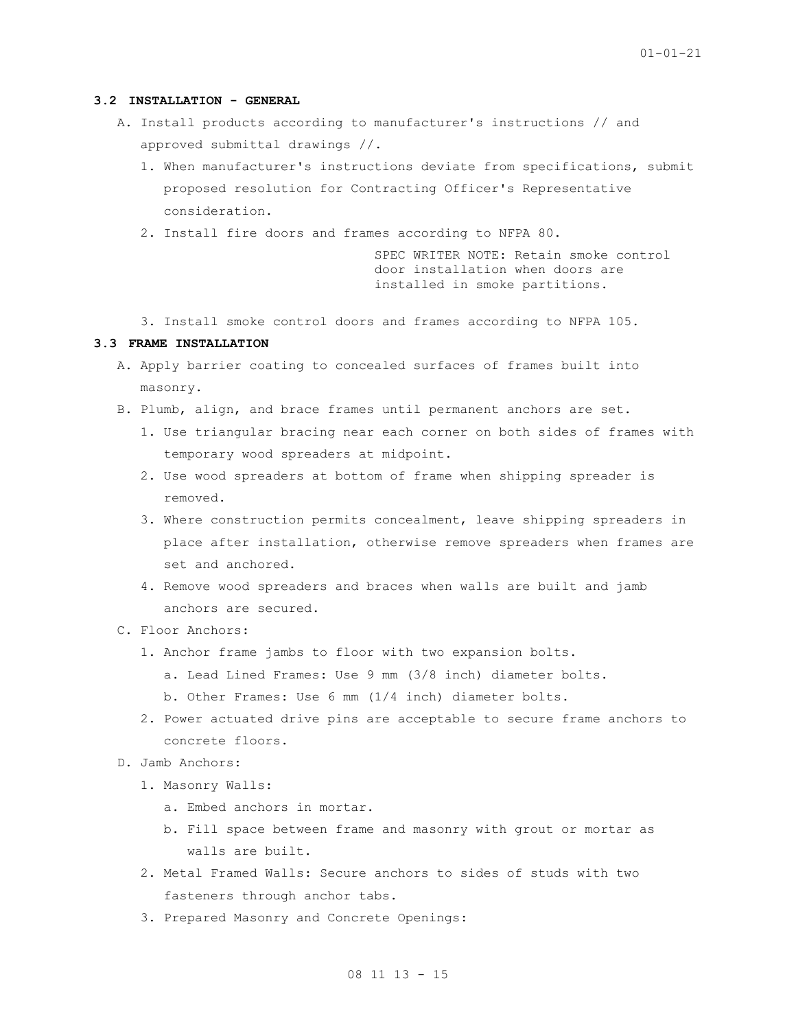### **3.2 INSTALLATION - GENERAL**

- A. Install products according to manufacturer's instructions // and approved submittal drawings //.
	- 1. When manufacturer's instructions deviate from specifications, submit proposed resolution for Contracting Officer's Representative consideration.
	- 2. Install fire doors and frames according to NFPA 80.

SPEC WRITER NOTE: Retain smoke control door installation when doors are installed in smoke partitions.

3. Install smoke control doors and frames according to NFPA 105.

# **3.3 FRAME INSTALLATION**

- A. Apply barrier coating to concealed surfaces of frames built into masonry.
- B. Plumb, align, and brace frames until permanent anchors are set.
	- 1. Use triangular bracing near each corner on both sides of frames with temporary wood spreaders at midpoint.
	- 2. Use wood spreaders at bottom of frame when shipping spreader is removed.
	- 3. Where construction permits concealment, leave shipping spreaders in place after installation, otherwise remove spreaders when frames are set and anchored.
	- 4. Remove wood spreaders and braces when walls are built and jamb anchors are secured.
- C. Floor Anchors:
	- 1. Anchor frame jambs to floor with two expansion bolts. a. Lead Lined Frames: Use 9 mm (3/8 inch) diameter bolts.
		- b. Other Frames: Use 6 mm (1/4 inch) diameter bolts.
	- 2. Power actuated drive pins are acceptable to secure frame anchors to concrete floors.
- D. Jamb Anchors:
	- 1. Masonry Walls:
		- a. Embed anchors in mortar.
		- b. Fill space between frame and masonry with grout or mortar as walls are built.
	- 2. Metal Framed Walls: Secure anchors to sides of studs with two fasteners through anchor tabs.
	- 3. Prepared Masonry and Concrete Openings: